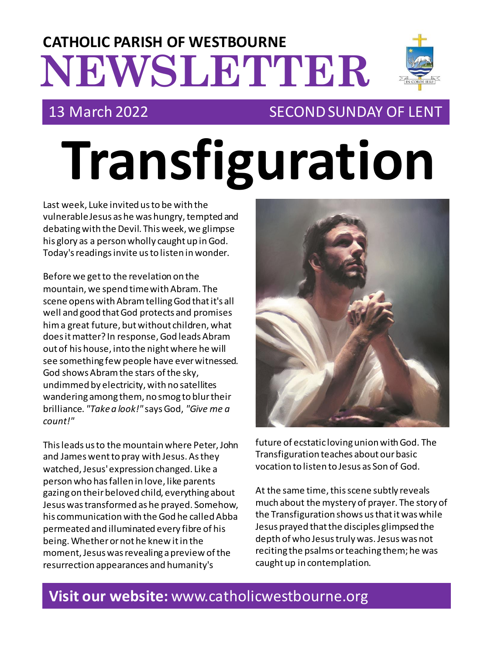# **NEWSLETTER CATHOLIC PARISH OF WESTBOURNE**



# 13 March 2022 SECOND SUNDAY OF LENT

# **Transfiguration**

Last week, Luke invited us to be with the vulnerable Jesus as he was hungry, tempted and debating with the Devil. This week, we glimpse his glory as a person wholly caught up in God. Today's readings invite us to listen in wonder.

Before we get to the revelation on the mountain, we spend time with Abram. The scene opens with Abram telling God that it's all well and good that God protects and promises him a great future, but without children, what does it matter? In response, God leads Abram out of his house, into the night where he will see something few people have ever witnessed. God shows Abram the stars of the sky, undimmed by electricity, with no satellites wandering among them, no smog to blur their brilliance. *"Take a look!"* says God, *"Give me a count!"*

This leads us to the mountain where Peter, John and James went to pray with Jesus. As they watched, Jesus' expression changed. Like a person who has fallen in love, like parents gazing on their beloved child, everything about Jesus was transformed as he prayed. Somehow, his communication with the God he called Abba permeated and illuminated every fibre of his being. Whether or not he knew it in the moment, Jesus was revealing a preview of the resurrection appearances and humanity's



future of ecstatic loving union with God. The Transfiguration teaches about our basic vocation to listen to Jesus as Son of God.

At the same time, this scene subtly reveals much about the mystery of prayer. The story of the Transfiguration shows us that it was while Jesus prayed that the disciples glimpsed the depth of who Jesus truly was. Jesus was not reciting the psalms or teaching them; he was caught up in contemplation.

# **Visit our website:** www.catholicwestbourne.org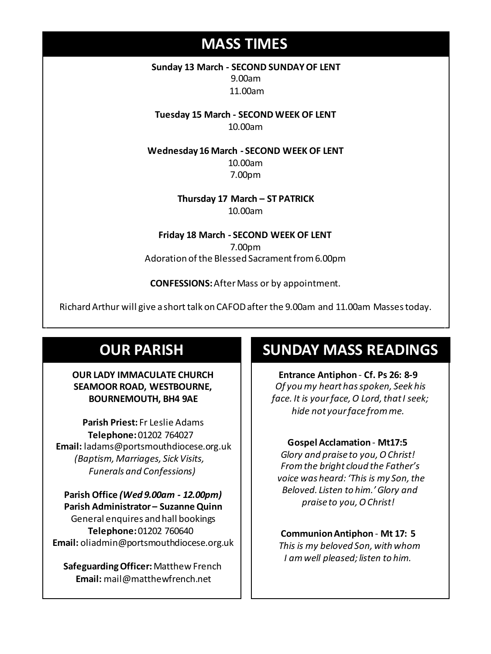# **MASS TIMES**

**Sunday 13 March - SECOND SUNDAY OF LENT** 9.00am 11.00am

**Tuesday 15 March - SECOND WEEK OF LENT** 10.00am

**Wednesday 16 March - SECOND WEEK OF LENT**

10.00am 7.00pm

**Wednesday 14th** *Repose of the souls of Bernard Charles and Elsie May Pratt* **Saturday 16th** *Rosemarie Schofield RIP* **Thursday 17 March – ST PATRICK** 10.00am

> **Friday 18 March - SECOND WEEK OF LENT** 7.00pm Adoration of the Blessed Sacrament from 6.00pm

**CONFESSIONS:**After Mass or by appointment.

Richard Arthur will give a short talk on CAFOD after the 9.00am and 11.00am Masses today.

# **OUR PARISH**

#### **OUR LADY IMMACULATE CHURCH SEAMOOR ROAD, WESTBOURNE, BOURNEMOUTH, BH4 9AE**

**Parish Priest:** Fr Leslie Adams **Telephone:**01202 764027 **Email:** ladams@portsmouthdiocese.org.uk *(Baptism, Marriages, Sick Visits, Funerals and Confessions)*

**Parish Office** *(Wed 9.00am - 12.00pm)* **Parish Administrator – Suzanne Quinn** General enquires andhall bookings **Telephone:**01202 760640 **Email:** oliadmin@portsmouthdiocese.org.uk

**Safeguarding Officer:**Matthew French **Email:** mail@matthewfrench.net

# **SUNDAY MASS READINGS**

**Entrance Antiphon** - **Cf. Ps 26: 8-9** *Of you my heart has spoken, Seek his face. It is your face, O Lord, that I seek; hide not your face from me.* 

### **Gospel Acclamation** - **Mt17:5**

*Glory and praise to you, O Christ! From the bright cloud the Father's voice was heard: 'This is my Son, the Beloved. Listen to him.' Glory and praise to you, O Christ!* 

### **Communion Antiphon** - **Mt 17: 5**

*This is my beloved Son, with whom I am well pleased; listen to him.*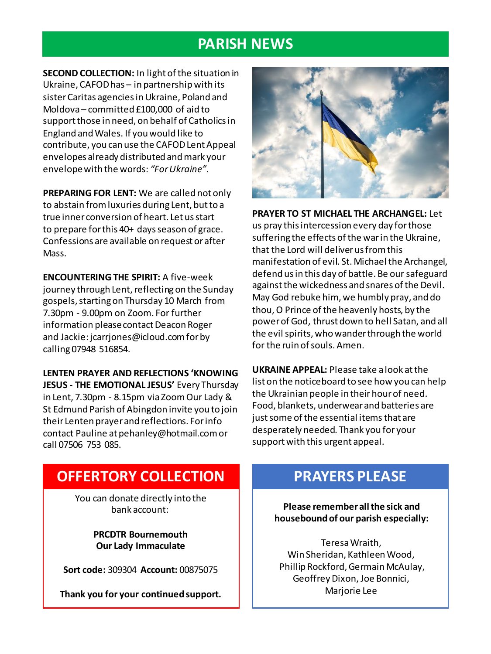## **PARISH NEWS**

**SECOND COLLECTION:** In light of the situation in Ukraine, CAFOD has – in partnership with its sister Caritas agencies in Ukraine, Poland and Moldova – committed £100,000 of aid to support those in need, on behalf of Catholics in England and Wales. If you would like to contribute, you can use the CAFOD Lent Appeal envelopes already distributed and mark your envelope with the words: *"For Ukraine"*.

**PREPARING FOR LENT:** We are called not only to abstain from luxuries during Lent, but to a true inner conversion of heart. Let us start to prepare for this 40+ days season of grace. Confessions are available on request or after Mass.

**ENCOUNTERING THE SPIRIT:** A five-week journey through Lent, reflecting on the Sunday gospels, starting on Thursday 10 March from 7.30pm - 9.00pm on Zoom. For further information please contact Deacon Roger and Jackie: jcarrjones@icloud.com for by calling 07948 516854.

**LENTEN PRAYER AND REFLECTIONS 'KNOWING JESUS - THE EMOTIONAL JESUS'** Every Thursday in Lent, 7.30pm - 8.15pm via Zoom Our Lady & St Edmund Parish of Abingdon invite you to join their Lenten prayer and reflections. For info contact Pauline at pehanley@hotmail.com or call 07506 753 085.



**PRAYER TO ST MICHAEL THE ARCHANGEL:** Let us pray this intercession every day for those suffering the effects of the war in the Ukraine, that the Lord will deliver us from this manifestation of evil. St. Michael the Archangel, defend us in this day of battle. Be our safeguard against the wickedness and snares of the Devil. May God rebuke him, we humbly pray, and do thou, O Prince of the heavenly hosts, by the power of God, thrust down to hell Satan, and all the evil spirits, who wander through the world for the ruin of souls. Amen.

**UKRAINE APPEAL:** Please take a look at the list on the noticeboard to see how you can help the Ukrainian people in their hour of need. Food, blankets, underwear and batteries are just some of the essential items that are desperately needed. Thank you for your support with this urgent appeal.

## **OFFERTORY COLLECTION**

You can donate directly into the bank account:

> **PRCDTR Bournemouth Our Lady Immaculate**

**Sort code:** 309304 **Account:** 00875075

**Thank you for your continued support.**

# **PRAYERS PLEASE**

**Please remember all the sick and housebound of our parish especially:**

Teresa Wraith, Win Sheridan, Kathleen Wood, Phillip Rockford, Germain McAulay, Geoffrey Dixon, Joe Bonnici, Marjorie Lee